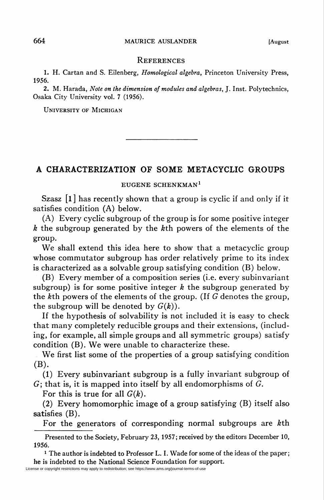## References

1. H. Cartan and S. Eilenberg, Homological algebra, Princeton University Press, 1956.

2. M. Harada, Note on the dimension of modules and algebras, J. Inst. Polytechnics, Osaka City University vol. 7 (1956).

University of Michigan

## A CHARACTERIZATION OF SOME METACYCLIC GROUPS

EUGENE SCHENKMAN1

Szasz [l ] has recently shown that a group is cyclic if and only if it satisfies condition (A) below.

(A) Every cyclic subgroup of the group is for some positive integer  $k$  the subgroup generated by the  $k$ th powers of the elements of the group.

We shall extend this idea here to show that a metacyclic group whose commutator subgroup has order relatively prime to its index is characterized as a solvable group satisfying condition (B) below.

(B) Every member of a composition series (i.e. every subinvariant subgroup) is for some positive integer  $k$  the subgroup generated by the &th powers of the elements of the group. (If G denotes the group, the subgroup will be denoted by  $G(k)$ ).

If the hypothesis of solvability is not included it is easy to check that many completely reducible groups and their extensions, (including, for example, all simple groups and all symmetric groups) satisfy condition (B). We were unable to characterize these.

We first list some of the properties of a group satisfying condition (B).

(1) Every subinvariant subgroup is a fully invariant subgroup of  $G$ ; that is, it is mapped into itself by all endomorphisms of  $G$ .

For this is true for all  $G(k)$ .

(2) Every homomorphic image of a group satisfying (B) itself also satisfies (B).

For the generators of corresponding normal subgroups are &th

Presented to the Society, February 23, 1957; received by the editors December 10, 1956.

<sup>1</sup> The author is indebted to Professor L. I. Wade for some of the ideas of the paper; he is indebted to the National Science Foundation for support.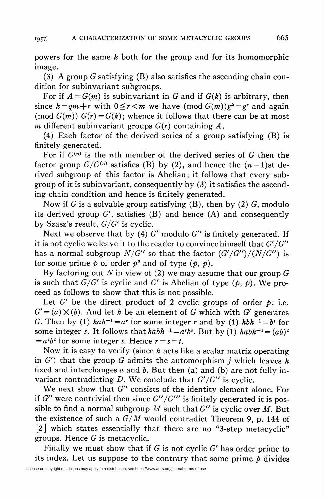powers for the same k both for the group and for its homomorphic image.

(3) A group G satisfying  $(B)$  also satisfies the ascending chain condition for subinvariant subgroups.

For if  $A = G(m)$  is subinvariant in G and if  $G(k)$  is arbitrary, then since  $k = qm + r$  with  $0 \le r < m$  we have  $(\text{mod } G(m))g^k = g^r$  and again (mod  $G(m)$ )  $G(r) = G(k)$ ; whence it follows that there can be at most m different subinvariant groups  $G(r)$  containing A.

(4) Each factor of the derived series of a group satisfying (B) is finitely generated.

For if  $G^{(n)}$  is the nth member of the derived series of G then the factor group  $G/G^{(n)}$  satisfies (B) by (2), and hence the  $(n-1)$ st derived subgroup of this factor is Abelian; it follows that every subgroup of it is subinvariant, consequently by (3) it satisfies the ascending chain condition and hence is finitely generated.

Now if G is a solvable group satisfying  $(B)$ , then by  $(2)$  G, modulo its derived group  $G'$ , satisfies (B) and hence (A) and consequently by Szasz's result,  $G/G'$  is cyclic.

Next we observe that by (4)  $G'$  modulo  $G''$  is finitely generated. If it is not cyclic we leave it to the reader to convince himself that  $G'/G''$ has a normal subgroup  $N/G''$  so that the factor  $(G'/G'')/(N/G'')$  is for some prime  $p$  of order  $p^2$  and of type  $(p, p)$ .

By factoring out N in view of (2) we may assume that our group  $G$ is such that  $G/G'$  is cyclic and G' is Abelian of type  $(p, p)$ . We proceed as follows to show that this is not possible.

Let G' be the direct product of 2 cyclic groups of order  $p$ ; i.e.  $G' = (a) \times (b)$ . And let h be an element of G which with G' generates G. Then by (1)  $hah^{-1}=a^r$  for some integer r and by (1)  $hbh^{-1}=b^s$  for some integer s. It follows that  $habh^{-1} = a^rb^s$ . But by (1)  $habh^{-1} = (ab)^t$  $=a<sup>t</sup>b<sup>t</sup>$  for some integer t. Hence  $r = s = t$ .

Now it is easy to verify (since  $h$  acts like a scalar matrix operating in  $G'$ ) that the group G admits the automorphism j which leaves h fixed and interchanges  $a$  and  $b$ . But then (a) and (b) are not fully invariant contradicting D. We conclude that  $G'/G''$  is cyclic.

We next show that G" consists of the identity element alone. For if G" were nontrivial then since  $G''/G'''$  is finitely generated it is possible to find a normal subgroup M such that  $G''$  is cyclic over M. But the existence of such a  $G/M$  would contradict Theorem 9, p. 144 of [2] which states essentially that there are no "3-step metacyclic" groups. Hence  $G$  is metacyclic.

Finally we must show that if  $G$  is not cyclic  $G'$  has order prime to its index. Let us suppose to the contrary that some prime  $p$  divides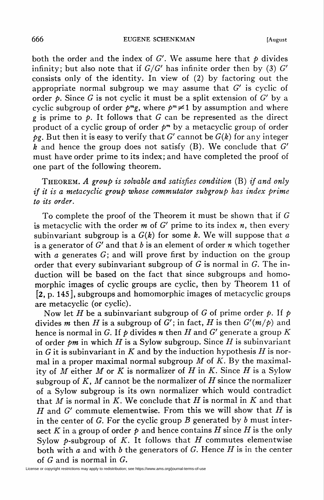666 EUGENE SCHENKMAN [August

both the order and the index of G'. We assume here that  $\phi$  divides infinity; but also note that if  $G/G'$  has infinite order then by (3) G' consists only of the identity. In view of (2) by factoring out the appropriate normal subgroup we may assume that  $G'$  is cyclic of order  $\phi$ . Since G is not cyclic it must be a split extension of G' by a cyclic subgroup of order  $p^m$ g, where  $p^m \neq 1$  by assumption and where g is prime to  $\dot{p}$ . It follows that G can be represented as the direct product of a cyclic group of order  $p^m$  by a metacyclic group of order  $pg$ . But then it is easy to verify that G' cannot be  $G(k)$  for any integer  $\overline{k}$  and hence the group does not satisfy (B). We conclude that  $G'$ must have order prime to its index; and have completed the proof of one part of the following theorem.

THEOREM. A group is solvable and satisfies condition  $(B)$  if and only if it is a metacyclic group whose commutator subgroup has index prime to its order.

To complete the proof of the Theorem it must be shown that if G is metacyclic with the order  $m$  of  $G'$  prime to its index  $n$ , then every subinvariant subgroup is a  $G(k)$  for some k. We will suppose that a is a generator of G' and that b is an element of order n which together with  $\alpha$  generates  $G$ ; and will prove first by induction on the group order that every subinvariant subgroup of  $G$  is normal in  $G$ . The induction will be based on the fact that since subgroups and homomorphic images of cyclic groups are cyclic, then by Theorem 11 of [2, p. 145], subgroups and homomorphic images of metacyclic groups are metacyclic (or cyclic).

Now let H be a subinvariant subgroup of G of prime order  $\phi$ . If  $\phi$ divides m then H is a subgroup of G'; in fact, H is then  $G'(m/p)$  and hence is normal in G. If  $\phi$  divides *n* then H and G' generate a group K of order  $pm$  in which H is a Sylow subgroup. Since H is subinvariant in G it is subinvariant in K and by the induction hypothesis H is normal in a proper maximal normal subgroup  $M$  of  $K$ . By the maximality of  $M$  either  $M$  or  $K$  is normalizer of  $H$  in  $K$ . Since  $H$  is a Sylow subgroup of K, M cannot be the normalizer of H since the normalizer of a Sylow subgroup is its own normalizer which would contradict that M is normal in K. We conclude that H is normal in K and that  $H$  and  $G'$  commute elementwise. From this we will show that  $H$  is in the center of G. For the cyclic group B generated by b must intersect K in a group of order  $p$  and hence contains H since H is the only Sylow  $\phi$ -subgroup of K. It follows that H commutes elementwise both with a and with b the generators of G. Hence  $H$  is in the center of G and is normal in G.